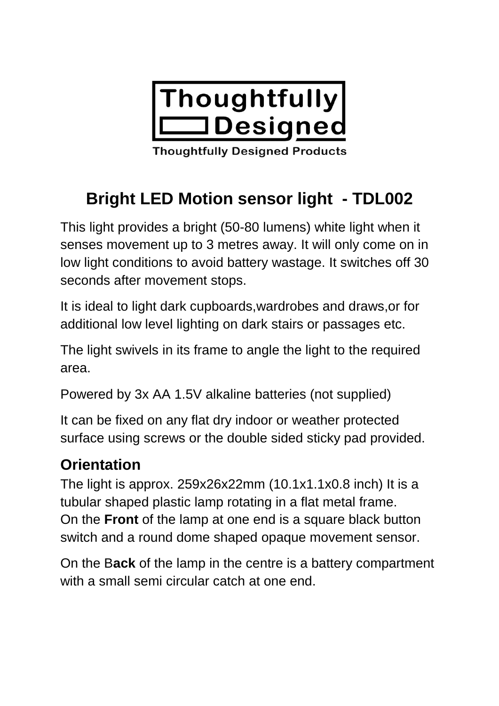

**Thoughtfully Designed Products** 

# **Bright LED Motion sensor light - TDL002**

This light provides a bright (50-80 lumens) white light when it senses movement up to 3 metres away. It will only come on in low light conditions to avoid battery wastage. It switches off 30 seconds after movement stops.

It is ideal to light dark cupboards,wardrobes and draws,or for additional low level lighting on dark stairs or passages etc.

The light swivels in its frame to angle the light to the required area.

Powered by 3x AA 1.5V alkaline batteries (not supplied)

It can be fixed on any flat dry indoor or weather protected surface using screws or the double sided sticky pad provided.

## **Orientation**

The light is approx. 259x26x22mm (10.1x1.1x0.8 inch) It is a tubular shaped plastic lamp rotating in a flat metal frame. On the **Front** of the lamp at one end is a square black button switch and a round dome shaped opaque movement sensor.

On the B**ack** of the lamp in the centre is a battery compartment with a small semi circular catch at one end.